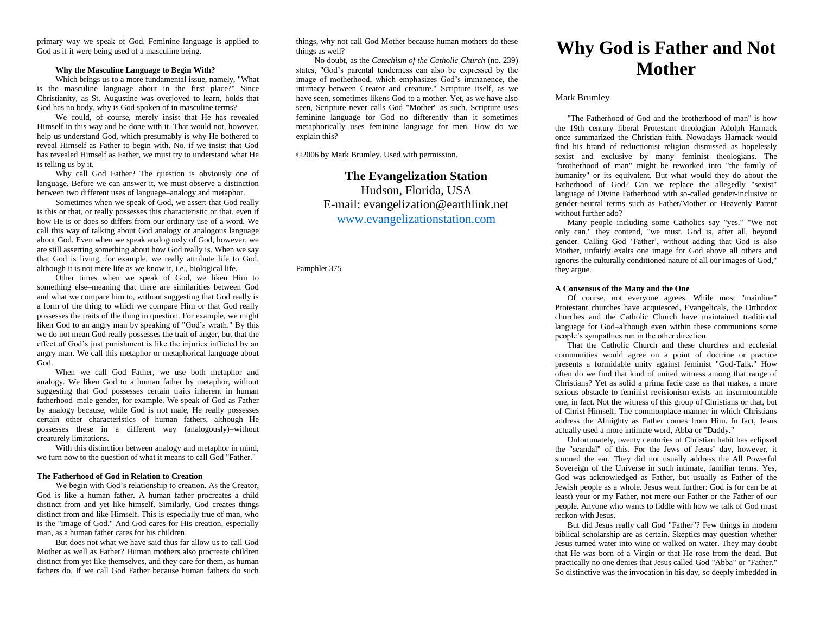primary way we speak of God. Feminine language is applied to God as if it were being used of a masculine being.

#### **Why the Masculine Language to Begin With?**

Which brings us to a more fundamental issue, namely, "What is the masculine language about in the first place?" Since Christianity, as St. Augustine was overjoyed to learn, holds that God has no body, why is God spoken of in masculine terms?

We could, of course, merely insist that He has revealed Himself in this way and be done with it. That would not, however, help us understand God, which presumably is why He bothered to reveal Himself as Father to begin with. No, if we insist that God has revealed Himself as Father, we must try to understand what He is telling us by it.

Why call God Father? The question is obviously one of language. Before we can answer it, we must observe a distinction between two different uses of language–analogy and metaphor.

Sometimes when we speak of God, we assert that God really is this or that, or really possesses this characteristic or that, even if how He is or does so differs from our ordinary use of a word. We call this way of talking about God analogy or analogous language about God. Even when we speak analogously of God, however, we are still asserting something about how God really is. When we say that God is living, for example, we really attribute life to God, although it is not mere life as we know it, i.e., biological life.

Other times when we speak of God, we liken Him to something else–meaning that there are similarities between God and what we compare him to, without suggesting that God really is a form of the thing to which we compare Him or that God really possesses the traits of the thing in question. For example, we might liken God to an angry man by speaking of "God's wrath." By this we do not mean God really possesses the trait of anger, but that the effect of God's just punishment is like the injuries inflicted by an angry man. We call this metaphor or metaphorical language about God.

When we call God Father, we use both metaphor and analogy. We liken God to a human father by metaphor, without suggesting that God possesses certain traits inherent in human fatherhood–male gender, for example. We speak of God as Father by analogy because, while God is not male, He really possesses certain other characteristics of human fathers, although He possesses these in a different way (analogously)–without creaturely limitations.

With this distinction between analogy and metaphor in mind, we turn now to the question of what it means to call God "Father."

#### **The Fatherhood of God in Relation to Creation**

We begin with God's relationship to creation. As the Creator, God is like a human father. A human father procreates a child distinct from and yet like himself. Similarly, God creates things distinct from and like Himself. This is especially true of man, who is the "image of God." And God cares for His creation, especially man, as a human father cares for his children.

But does not what we have said thus far allow us to call God Mother as well as Father? Human mothers also procreate children distinct from yet like themselves, and they care for them, as human fathers do. If we call God Father because human fathers do such

things, why not call God Mother because human mothers do these things as well?

No doubt, as the *Catechism of the Catholic Church* (no. 239) states, "God's parental tenderness can also be expressed by the image of motherhood, which emphasizes God's immanence, the intimacy between Creator and creature." Scripture itself, as we have seen, sometimes likens God to a mother. Yet, as we have also seen, Scripture never calls God "Mother" as such. Scripture uses feminine language for God no differently than it sometimes metaphorically uses feminine language for men. How do we explain this?

©2006 by Mark Brumley. Used with permission.

# **The Evangelization Station**  Hudson, Florida, USA E-mail: evangelization@earthlink.net [www.evangelizationstation.com](http://www.pjpiisoe.org/)

Pamphlet 375

# **Why God is Father and Not Mother**

### Mark Brumley

"The Fatherhood of God and the brotherhood of man" is how the 19th century liberal Protestant theologian Adolph Harnack once summarized the Christian faith. Nowadays Harnack would find his brand of reductionist religion dismissed as hopelessly sexist and exclusive by many feminist theologians. The "brotherhood of man" might be reworked into "the family of humanity" or its equivalent. But what would they do about the Fatherhood of God? Can we replace the allegedly "sexist" language of Divine Fatherhood with so-called gender-inclusive or gender-neutral terms such as Father/Mother or Heavenly Parent without further ado?

Many people–including some Catholics–say "yes." "We not only can," they contend, "we must. God is, after all, beyond gender. Calling God 'Father', without adding that God is also Mother, unfairly exalts one image for God above all others and ignores the culturally conditioned nature of all our images of God," they argue.

#### **A Consensus of the Many and the One**

Of course, not everyone agrees. While most "mainline" Protestant churches have acquiesced, Evangelicals, the Orthodox churches and the Catholic Church have maintained traditional language for God–although even within these communions some people's sympathies run in the other direction.

That the Catholic Church and these churches and ecclesial communities would agree on a point of doctrine or practice presents a formidable unity against feminist "God-Talk." How often do we find that kind of united witness among that range of Christians? Yet as solid a prima facie case as that makes, a more serious obstacle to feminist revisionism exists–an insurmountable one, in fact. Not the witness of this group of Christians or that, but of Christ Himself. The commonplace manner in which Christians address the Almighty as Father comes from Him. In fact, Jesus actually used a more intimate word, Abba or "Daddy."

Unfortunately, twenty centuries of Christian habit has eclipsed the "scandal" of this. For the Jews of Jesus' day, however, it stunned the ear. They did not usually address the All Powerful Sovereign of the Universe in such intimate, familiar terms. Yes, God was acknowledged as Father, but usually as Father of the Jewish people as a whole. Jesus went further: God is (or can be at least) your or my Father, not mere our Father or the Father of our people. Anyone who wants to fiddle with how we talk of God must reckon with Jesus.

But did Jesus really call God "Father"? Few things in modern biblical scholarship are as certain. Skeptics may question whether Jesus turned water into wine or walked on water. They may doubt that He was born of a Virgin or that He rose from the dead. But practically no one denies that Jesus called God "Abba" or "Father." So distinctive was the invocation in his day, so deeply imbedded in